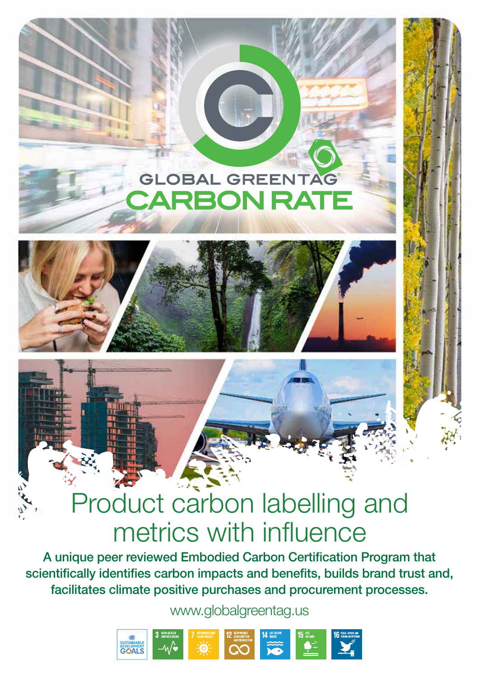## **GLOBAL GREENTAG ARBON RATE**



 $\mathcal{L}$ 

# Product carbon labelling and metrics with influence

A unique peer reviewed Embodied Carbon Certification Program that scientifically identifies carbon impacts and benefits, builds brand trust and, facilitates climate positive purchases and procurement processes.

www.globalgreentag.us